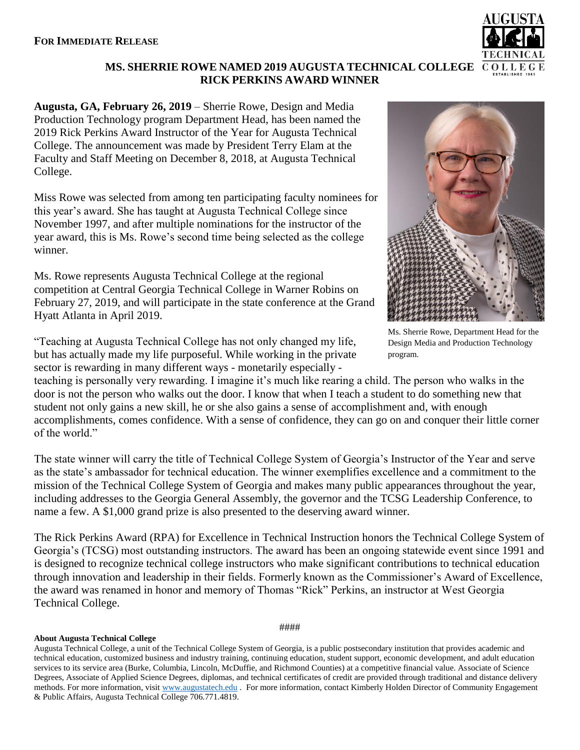## **MS. SHERRIE ROWE NAMED 2019 AUGUSTA TECHNICAL COLLEGE RICK PERKINS AWARD WINNER**

**Augusta, GA, February 26, 2019** – Sherrie Rowe, Design and Media Production Technology program Department Head, has been named the 2019 Rick Perkins Award Instructor of the Year for Augusta Technical College. The announcement was made by President Terry Elam at the Faculty and Staff Meeting on December 8, 2018, at Augusta Technical College.

Miss Rowe was selected from among ten participating faculty nominees for this year's award. She has taught at Augusta Technical College since November 1997, and after multiple nominations for the instructor of the year award, this is Ms. Rowe's second time being selected as the college winner.

Ms. Rowe represents Augusta Technical College at the regional competition at Central Georgia Technical College in Warner Robins on February 27, 2019, and will participate in the state conference at the Grand Hyatt Atlanta in April 2019.

"Teaching at Augusta Technical College has not only changed my life, but has actually made my life purposeful. While working in the private sector is rewarding in many different ways - monetarily especially -

teaching is personally very rewarding. I imagine it's much like rearing a child. The person who walks in the door is not the person who walks out the door. I know that when I teach a student to do something new that student not only gains a new skill, he or she also gains a sense of accomplishment and, with enough accomplishments, comes confidence. With a sense of confidence, they can go on and conquer their little corner of the world."

The state winner will carry the title of Technical College System of Georgia's Instructor of the Year and serve as the state's ambassador for technical education. The winner exemplifies excellence and a commitment to the mission of the Technical College System of Georgia and makes many public appearances throughout the year, including addresses to the Georgia General Assembly, the governor and the TCSG Leadership Conference, to name a few. A \$1,000 grand prize is also presented to the deserving award winner.

The Rick Perkins Award (RPA) for Excellence in Technical Instruction honors the Technical College System of Georgia's (TCSG) most outstanding instructors. The award has been an ongoing statewide event since 1991 and is designed to recognize technical college instructors who make significant contributions to technical education through innovation and leadership in their fields. Formerly known as the Commissioner's Award of Excellence, the award was renamed in honor and memory of Thomas "Rick" Perkins, an instructor at West Georgia Technical College.

## **About Augusta Technical College**



Ms. Sherrie Rowe, Department Head for the Design Media and Production Technology

program.



####

Augusta Technical College, a unit of the Technical College System of Georgia, is a public postsecondary institution that provides academic and technical education, customized business and industry training, continuing education, student support, economic development, and adult education services to its service area (Burke, Columbia, Lincoln, McDuffie, and Richmond Counties) at a competitive financial value. Associate of Science Degrees, Associate of Applied Science Degrees, diplomas, and technical certificates of credit are provided through traditional and distance delivery methods. For more information, visit [www.augustatech.edu](http://www.augustatech.edu/) . For more information, contact Kimberly Holden Director of Community Engagement & Public Affairs, Augusta Technical College 706.771.4819.